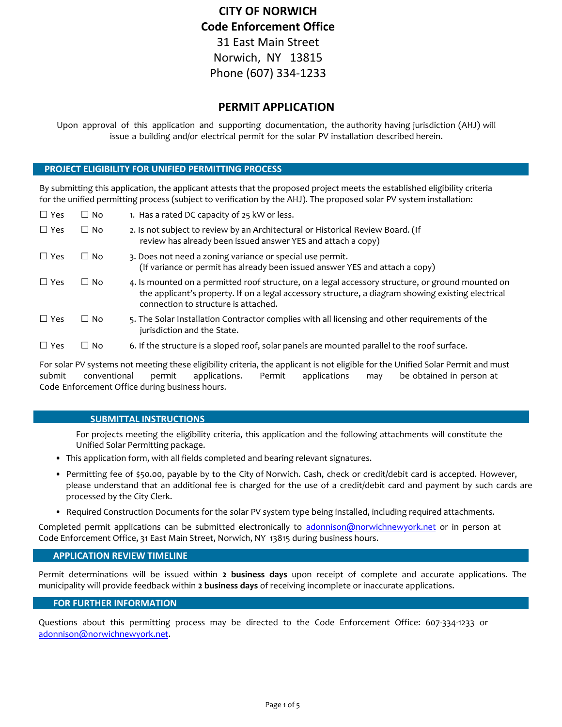# **CITY OF NORWICH Code Enforcement Office** 31 East Main Street Norwich, NY 13815 Phone (607) 334-1233

# **PERMIT APPLICATION**

Upon approval of this application and supporting documentation, the authority having jurisdiction (AHJ) will issue a building and/or electrical permit for the solar PV installation described herein.

### **PROJECT ELIGIBILITY FOR UNIFIED PERMITTING PROCESS**

By submitting this application, the applicant attests that the proposed project meets the established eligibility criteria for the unified permitting process (subject to verification by the AHJ). The proposed solar PV system installation:

| $\Box$ Yes | $\Box$ No | 1. Has a rated DC capacity of 25 kW or less.                                                                                                                                                                                                    |
|------------|-----------|-------------------------------------------------------------------------------------------------------------------------------------------------------------------------------------------------------------------------------------------------|
| $\Box$ Yes | $\Box$ No | 2. Is not subject to review by an Architectural or Historical Review Board. (If<br>review has already been issued answer YES and attach a copy)                                                                                                 |
| $\Box$ Yes | $\Box$ No | 3. Does not need a zoning variance or special use permit.<br>(If variance or permit has already been issued answer YES and attach a copy)                                                                                                       |
| $\Box$ Yes | $\Box$ No | 4. Is mounted on a permitted roof structure, on a legal accessory structure, or ground mounted on<br>the applicant's property. If on a legal accessory structure, a diagram showing existing electrical<br>connection to structure is attached. |
| $\Box$ Yes | $\Box$ No | 5. The Solar Installation Contractor complies with all licensing and other requirements of the<br>jurisdiction and the State.                                                                                                                   |
| $\Box$ Yes | $\Box$ No | 6. If the structure is a sloped roof, solar panels are mounted parallel to the roof surface.                                                                                                                                                    |
|            |           |                                                                                                                                                                                                                                                 |

For solar PV systems not meeting these eligibility criteria, the applicant is not eligible for the Unified Solar Permit and must submit conventional permit applications. Permit applications may be obtained in person at Code Enforcement Office during business hours.

### **SUBMITTAL INSTRUCTIONS**

For projects meeting the eligibility criteria, this application and the following attachments will constitute the Unified Solar Permitting package.

- This application form, with all fields completed and bearing relevant signatures.
- Permitting fee of \$50.00, payable by to the City of Norwich. Cash, check or credit/debit card is accepted. However, please understand that an additional fee is charged for the use of a credit/debit card and payment by such cards are processed by the City Clerk.
- Required Construction Documents for the solar PV system type being installed, including required attachments.

Completed permit applications can be submitted electronically to adonnison@norwichnewyork.net or in person at Code Enforcement Office, 31 East Main Street, Norwich, NY 13815 during business hours.

### **APPLICATION REVIEW TIMELINE**

Permit determinations will be issued within **2 business days** upon receipt of complete and accurate applications. The municipality will provide feedback within **2 business days** of receiving incomplete or inaccurate applications.

### **FOR FURTHER INFORMATION**

Questions about this permitting process may be directed to the Code Enforcement Office: 607-334-1233 or adonnison@norwichnewyork.net.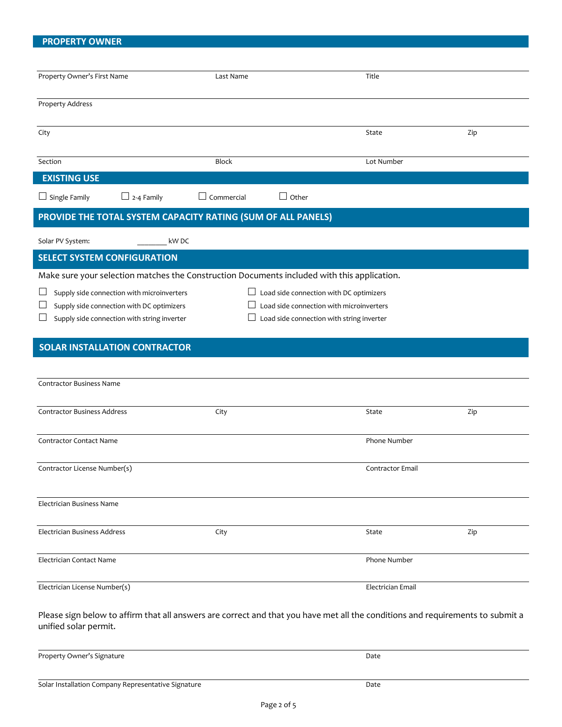# **PROPERTY OWNER**

| Property Owner's First Name                                                                 | Last Name                         | Title                                          |     |  |
|---------------------------------------------------------------------------------------------|-----------------------------------|------------------------------------------------|-----|--|
|                                                                                             |                                   |                                                |     |  |
| <b>Property Address</b>                                                                     |                                   |                                                |     |  |
| City                                                                                        |                                   | State                                          | Zip |  |
| Section                                                                                     | <b>Block</b>                      | Lot Number                                     |     |  |
| <b>EXISTING USE</b>                                                                         |                                   |                                                |     |  |
| $\Box$ 2-4 Family<br>$\Box$ Single Family                                                   | $\Box$ Commercial<br>$\Box$ Other |                                                |     |  |
| PROVIDE THE TOTAL SYSTEM CAPACITY RATING (SUM OF ALL PANELS)                                |                                   |                                                |     |  |
| Solar PV System:                                                                            | kW DC                             |                                                |     |  |
| <b>SELECT SYSTEM CONFIGURATION</b>                                                          |                                   |                                                |     |  |
| Make sure your selection matches the Construction Documents included with this application. |                                   |                                                |     |  |
| Supply side connection with microinverters                                                  |                                   | $\Box$ Load side connection with DC optimizers |     |  |
| Load side connection with microinverters<br>Supply side connection with DC optimizers       |                                   |                                                |     |  |
| Supply side connection with string inverter                                                 |                                   | Load side connection with string inverter      |     |  |
|                                                                                             |                                   |                                                |     |  |
| <b>SOLAR INSTALLATION CONTRACTOR</b>                                                        |                                   |                                                |     |  |
|                                                                                             |                                   |                                                |     |  |
| <b>Contractor Business Name</b>                                                             |                                   |                                                |     |  |
|                                                                                             |                                   |                                                |     |  |
| <b>Contractor Business Address</b>                                                          | City                              | State                                          | Zip |  |
|                                                                                             |                                   |                                                |     |  |
| <b>Contractor Contact Name</b>                                                              |                                   | Phone Number                                   |     |  |
|                                                                                             |                                   |                                                |     |  |
| Contractor License Number(s)                                                                |                                   | Contractor Email                               |     |  |
|                                                                                             |                                   |                                                |     |  |
| Electrician Business Name                                                                   |                                   |                                                |     |  |
| Electrician Business Address                                                                | City                              | State                                          | Zip |  |
|                                                                                             |                                   |                                                |     |  |
| Electrician Contact Name                                                                    |                                   | Phone Number                                   |     |  |
|                                                                                             |                                   |                                                |     |  |
| Electrician License Number(s)                                                               |                                   | Electrician Email                              |     |  |
|                                                                                             |                                   |                                                |     |  |

Property Owner's Signature Date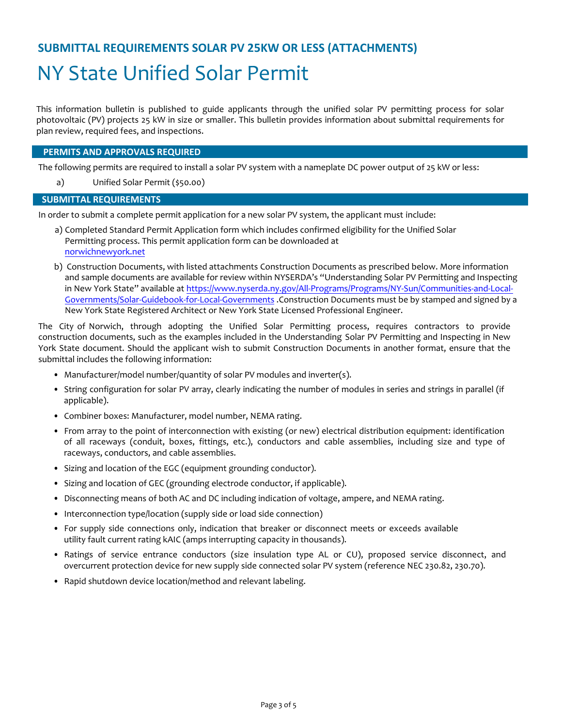# **SUBMITTAL REQUIREMENTS SOLAR PV 25KW OR LESS (ATTACHMENTS)**

# NY State Unified Solar Permit

This information bulletin is published to guide applicants through the unified solar PV permitting process for solar photovoltaic (PV) projects 25 kW in size or smaller. This bulletin provides information about submittal requirements for plan review, required fees, and inspections.

### **PERMITS AND APPROVALS REQUIRED**

The following permits are required to install a solar PV system with a nameplate DC power output of 25 kW or less:

a) Unified Solar Permit (\$50.00)

### **SUBMITTAL REQUIREMENTS**

In order to submit a complete permit application for a new solar PV system, the applicant must include:

- a) Completed Standard Permit Application form which includes confirmed eligibility for the Unified Solar Permitting process. This permit application form can be downloaded at norwichnewyork.net
- b) Construction Documents, with listed attachments Construction Documents as prescribed below. More information and sample documents are available for review within NYSERDA's "Understanding Solar PV Permitting and Inspecting in New York State" available at https://www.nyserda.ny.gov/All-Programs/Programs/NY-Sun/Communities-and-Local-Governments/Solar-Guidebook-for-Local-Governments .Construction Documents must be by stamped and signed by a New York State Registered Architect or New York State Licensed Professional Engineer.

The City of Norwich, through adopting the Unified Solar Permitting process, requires contractors to provide construction documents, such as the examples included in the Understanding Solar PV Permitting and Inspecting in New York State document. Should the applicant wish to submit Construction Documents in another format, ensure that the submittal includes the following information:

- Manufacturer/model number/quantity of solar PV modules and inverter(s).
- String configuration for solar PV array, clearly indicating the number of modules in series and strings in parallel (if applicable).
- Combiner boxes: Manufacturer, model number, NEMA rating.
- From array to the point of interconnection with existing (or new) electrical distribution equipment: identification of all raceways (conduit, boxes, fittings, etc.), conductors and cable assemblies, including size and type of raceways, conductors, and cable assemblies.
- Sizing and location of the EGC (equipment grounding conductor).
- Sizing and location of GEC (grounding electrode conductor, if applicable).
- Disconnecting means of both AC and DC including indication of voltage, ampere, and NEMA rating.
- Interconnection type/location (supply side or load side connection)
- For supply side connections only, indication that breaker or disconnect meets or exceeds available utility fault current rating kAIC (amps interrupting capacity in thousands).
- Ratings of service entrance conductors (size insulation type AL or CU), proposed service disconnect, and overcurrent protection device for new supply side connected solar PV system (reference NEC 230.82, 230.70).
- Rapid shutdown device location/method and relevant labeling.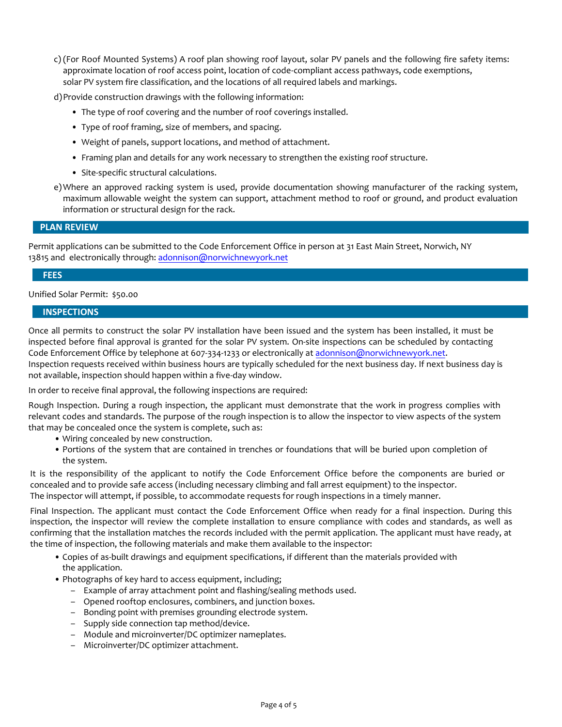c) (For Roof Mounted Systems) A roof plan showing roof layout, solar PV panels and the following fire safety items: approximate location of roof access point, location of code-compliant access pathways, code exemptions, solar PV system fire classification, and the locations of all required labels and markings.

d)Provide construction drawings with the following information:

- The type of roof covering and the number of roof coverings installed.
- Type of roof framing, size of members, and spacing.
- Weight of panels, support locations, and method of attachment.
- Framing plan and details for any work necessary to strengthen the existing roof structure.
- Site-specific structural calculations.
- e)Where an approved racking system is used, provide documentation showing manufacturer of the racking system, maximum allowable weight the system can support, attachment method to roof or ground, and product evaluation information or structural design for the rack.

### **PLAN REVIEW**

Permit applications can be submitted to the Code Enforcement Office in person at 31 East Main Street, Norwich, NY 13815 and electronically through: adonnison@norwichnewyork.net

### **FEES**

Unified Solar Permit: \$50.00

### **INSPECTIONS**

Once all permits to construct the solar PV installation have been issued and the system has been installed, it must be inspected before final approval is granted for the solar PV system. On-site inspections can be scheduled by contacting Code Enforcement Office by telephone at 607-334-1233 or electronically at adonnison@norwichnewyork.net. Inspection requests received within business hours are typically scheduled for the next business day. If next business day is not available, inspection should happen within a five-day window.

In order to receive final approval, the following inspections are required:

Rough Inspection. During a rough inspection, the applicant must demonstrate that the work in progress complies with relevant codes and standards. The purpose of the rough inspection is to allow the inspector to view aspects of the system that may be concealed once the system is complete, such as:

- Wiring concealed by new construction.
- Portions of the system that are contained in trenches or foundations that will be buried upon completion of the system.

It is the responsibility of the applicant to notify the Code Enforcement Office before the components are buried or concealed and to provide safe access (including necessary climbing and fall arrest equipment) to the inspector. The inspector will attempt, if possible, to accommodate requests for rough inspections in a timely manner.

Final Inspection. The applicant must contact the Code Enforcement Office when ready for a final inspection. During this inspection, the inspector will review the complete installation to ensure compliance with codes and standards, as well as confirming that the installation matches the records included with the permit application. The applicant must have ready, at the time of inspection, the following materials and make them available to the inspector:

- Copies of as-built drawings and equipment specifications, if different than the materials provided with the application.
- Photographs of key hard to access equipment, including;
	- Example of array attachment point and flashing/sealing methods used.
	- Opened rooftop enclosures, combiners, and junction boxes.
	- Bonding point with premises grounding electrode system.
	- Supply side connection tap method/device.
	- Module and microinverter/DC optimizer nameplates.
	- Microinverter/DC optimizer attachment.